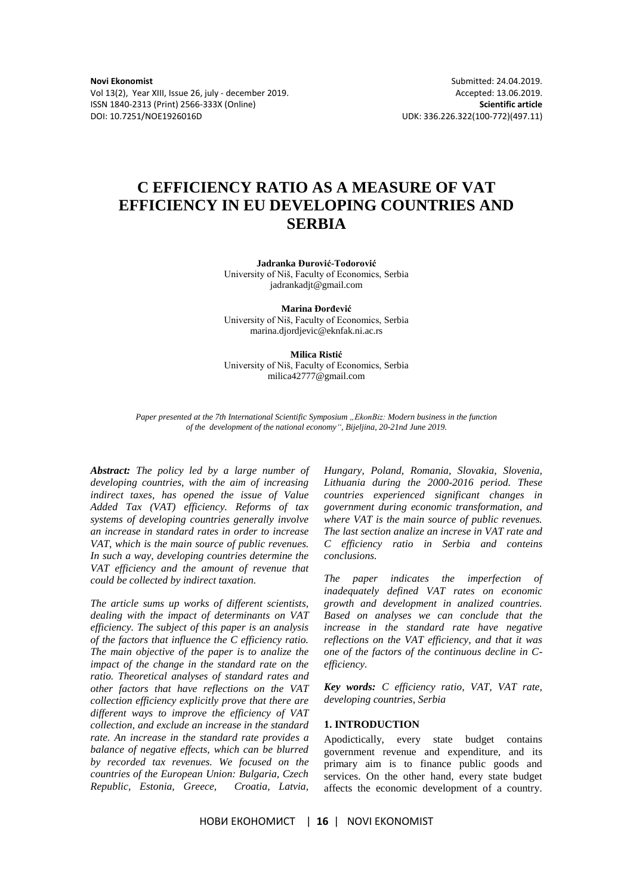Vol 13(2), Year XIII, Issue 26, july - december 2019. Accepted: 13.06.2019. ISSN 1840-2313 (Print) 2566-333X (Online) **Scientific article** DOI: 10.7251/NOE1926016D UDK: 336.226.322(100-772)(497.11)

**Novi Ekonomist** Submitted: 24.04.2019.

# **C EFFICIENCY RATIO AS A MEASURE OF VAT EFFICIENCY IN EU DEVELOPING COUNTRIES AND SERBIA**

**Jadranka Đurović-Todorović**  University of Niš, Faculty of Economics, Serbia jadrankadjt@gmail.com

**Marina Đorđević** University of Niš, Faculty of Economics, Serbia marina.djordjevic@eknfak.ni.ac.rs

**Milica Ristić**

University of Niš, Faculty of Economics, Serbia milica42777@gmail.com

*Paper presented at the 7th International Scientific Symposium "EkonBiz: Modern business in the function of the development of the national economy", Bijeljina, 20-21nd June 2019.*

*Abstract: The policy led by a large number of developing countries, with the aim of increasing indirect taxes, has opened the issue of Value Added Tax (VAT) efficiency. Reforms of tax systems of developing countries generally involve an increase in standard rates in order to increase VAT, which is the main source of public revenues. In such a way, developing countries determine the VAT efficiency and the amount of revenue that could be collected by indirect taxation.* 

*The article sums up works of different scientists, dealing with the impact of determinants on VAT efficiency. The subject of this paper is an analysis of the factors that influence the C efficiency ratio. The main objective of the paper is to analize the impact of the change in the standard rate on the ratio. Theoretical analyses of standard rates and other factors that have reflections on the VAT collection efficiency explicitly prove that there are different ways to improve the efficiency of VAT collection, and exclude an increase in the standard rate. An increase in the standard rate provides a balance of negative effects, which can be blurred by recorded tax revenues. We focused on the countries of the European Union: Bulgaria, Czech Republic, Estonia, Greece, Croatia, Latvia,* 

*Hungary, Poland, Romania, Slovakia, Slovenia, Lithuania during the 2000-2016 period. These countries experienced significant changes in government during economic transformation, and where VAT is the main source of public revenues. The last section analize an increse in VAT rate and C efficiency ratio in Serbia and conteins conclusions.* 

*The paper indicates the imperfection of inadequately defined VAT rates on economic growth and development in analized countries. Based on analyses we can conclude that the increase in the standard rate have negative reflections on the VAT efficiency, and that it was one of the factors of the continuous decline in Cefficiency.*

*Key words: C efficiency ratio, VAT, VAT rate, developing countries, Serbia*

# **1. INTRODUCTION**

Apodictically, every state budget contains government revenue and expenditure, and its primary aim is to finance public goods and services. On the other hand, every state budget affects the economic development of a country.

НОВИ ЕКОНОМИСТ | **16** | NOVI EKONOMIST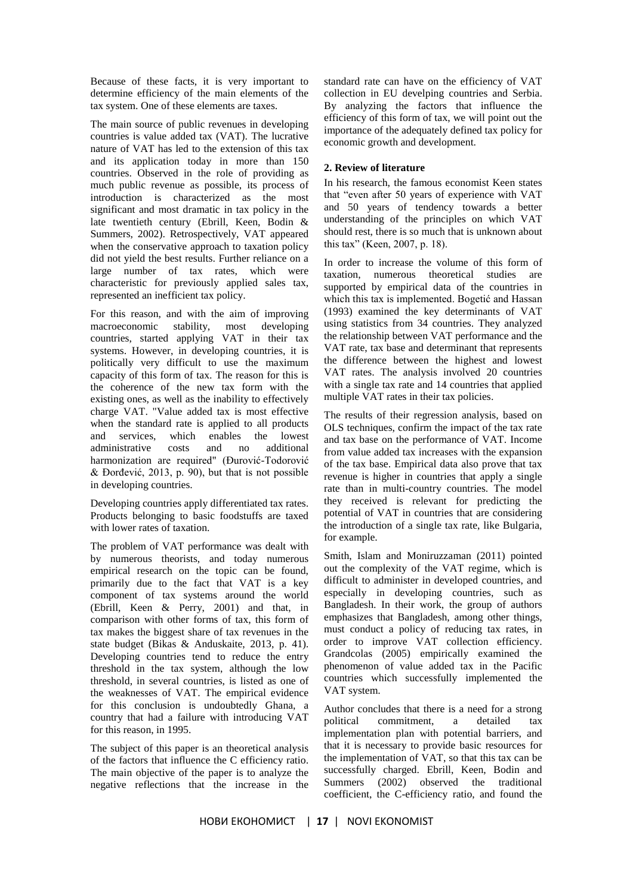Because of these facts, it is very important to determine efficiency of the main elements of the tax system. One of these elements are taxes.

The main source of public revenues in developing countries is value added tax (VAT). The lucrative nature of VAT has led to the extension of this tax and its application today in more than 150 countries. Observed in the role of providing as much public revenue as possible, its process of introduction is characterized as the most significant and most dramatic in tax policy in the late twentieth century (Ebrill, Keen, Bodin & Summers, 2002). Retrospectively, VAT appeared when the conservative approach to taxation policy did not yield the best results. Further reliance on a large number of tax rates, which were characteristic for previously applied sales tax, represented an inefficient tax policy.

For this reason, and with the aim of improving macroeconomic stability, most developing countries, started applying VAT in their tax systems. However, in developing countries, it is politically very difficult to use the maximum capacity of this form of tax. The reason for this is the coherence of the new tax form with the existing ones, as well as the inability to effectively charge VAT. "Value added tax is most effective when the standard rate is applied to all products and services, which enables the lowest administrative costs and no additional harmonization are required" (Đurović-Todorović & Đorđević, 2013, p. 90), but that is not possible in developing countries.

Developing countries apply differentiated tax rates. Products belonging to basic foodstuffs are taxed with lower rates of taxation.

The problem of VAT performance was dealt with by numerous theorists, and today numerous empirical research on the topic can be found, primarily due to the fact that VAT is a key component of tax systems around the world (Ebrill, Keen & Perry, 2001) and that, in comparison with other forms of tax, this form of tax makes the biggest share of tax revenues in the state budget (Bikas & Anduskaite, 2013, p. 41). Developing countries tend to reduce the entry threshold in the tax system, although the low threshold, in several countries, is listed as one of the weaknesses of VAT. The empirical evidence for this conclusion is undoubtedly Ghana, a country that had a failure with introducing VAT for this reason, in 1995.

The subject of this paper is an theoretical analysis of the factors that influence the C efficiency ratio. The main objective of the paper is to analyze the negative reflections that the increase in the

standard rate can have on the efficiency of VAT collection in EU develping countries and Serbia. By analyzing the factors that influence the efficiency of this form of tax, we will point out the importance of the adequately defined tax policy for economic growth and development.

# **2. Review of literature**

In his research, the famous economist Keen states that "even after 50 years of experience with VAT and 50 years of tendency towards a better understanding of the principles on which VAT should rest, there is so much that is unknown about this tax" (Keen, 2007, p. 18).

In order to increase the volume of this form of taxation, numerous theoretical studies are supported by empirical data of the countries in which this tax is implemented. Bogetić and Hassan (1993) examined the key determinants of VAT using statistics from 34 countries. They analyzed the relationship between VAT performance and the VAT rate, tax base and determinant that represents the difference between the highest and lowest VAT rates. The analysis involved 20 countries with a single tax rate and 14 countries that applied multiple VAT rates in their tax policies.

The results of their regression analysis, based on OLS techniques, confirm the impact of the tax rate and tax base on the performance of VAT. Income from value added tax increases with the expansion of the tax base. Empirical data also prove that tax revenue is higher in countries that apply a single rate than in multi-country countries. The model they received is relevant for predicting the potential of VAT in countries that are considering the introduction of a single tax rate, like Bulgaria, for example.

Smith, Islam and Moniruzzaman (2011) pointed out the complexity of the VAT regime, which is difficult to administer in developed countries, and especially in developing countries, such as Bangladesh. In their work, the group of authors emphasizes that Bangladesh, among other things, must conduct a policy of reducing tax rates, in order to improve VAT collection efficiency. Grandcolas (2005) empirically examined the phenomenon of value added tax in the Pacific countries which successfully implemented the VAT system.

Author concludes that there is a need for a strong political commitment, a detailed tax implementation plan with potential barriers, and that it is necessary to provide basic resources for the implementation of VAT, so that this tax can be successfully charged. Ebrill, Keen, Bodin and Summers (2002) observed the traditional coefficient, the C-efficiency ratio, and found the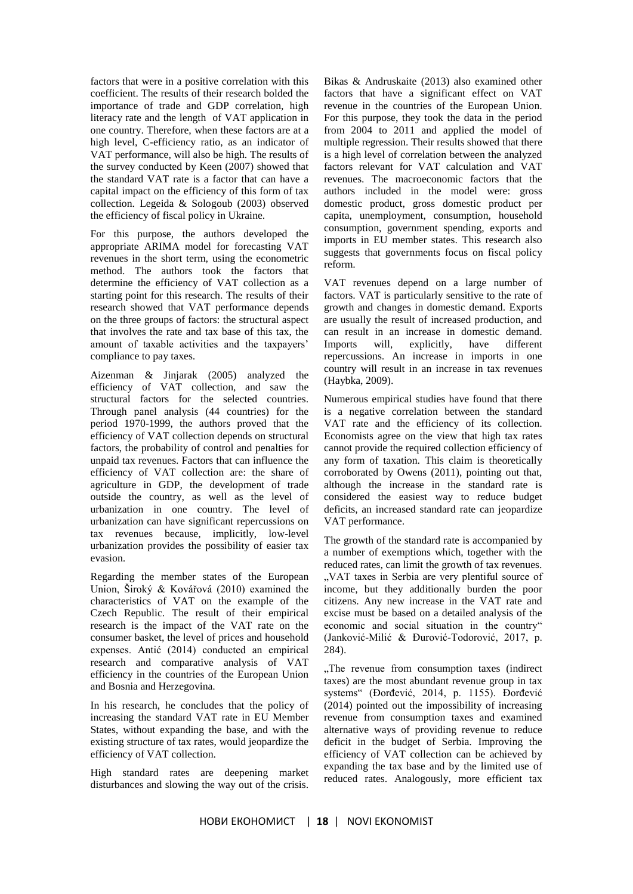factors that were in a positive correlation with this coefficient. The results of their research bolded the importance of trade and GDP correlation, high literacy rate and the length of VAT application in one country. Therefore, when these factors are at a high level, C-efficiency ratio, as an indicator of VAT performance, will also be high. The results of the survey conducted by Keen (2007) showed that the standard VAT rate is a factor that can have a capital impact on the efficiency of this form of tax collection. Legeida & Sologoub (2003) observed the efficiency of fiscal policy in Ukraine.

For this purpose, the authors developed the appropriate ARIMA model for forecasting VAT revenues in the short term, using the econometric method. The authors took the factors that determine the efficiency of VAT collection as a starting point for this research. The results of their research showed that VAT performance depends on the three groups of factors: the structural aspect that involves the rate and tax base of this tax, the amount of taxable activities and the taxpayers' compliance to pay taxes.

Aizenman & Jinjarak (2005) analyzed the efficiency of VAT collection, and saw the structural factors for the selected countries. Through panel analysis (44 countries) for the period 1970-1999, the authors proved that the efficiency of VAT collection depends on structural factors, the probability of control and penalties for unpaid tax revenues. Factors that can influence the efficiency of VAT collection are: the share of agriculture in GDP, the development of trade outside the country, as well as the level of urbanization in one country. The level of urbanization can have significant repercussions on tax revenues because, implicitly, low-level urbanization provides the possibility of easier tax evasion.

Regarding the member states of the European Union, Široký & Kovářová (2010) examined the characteristics of VAT on the example of the Czech Republic. The result of their empirical research is the impact of the VAT rate on the consumer basket, the level of prices and household expenses. Antić (2014) conducted an empirical research and comparative analysis of VAT efficiency in the countries of the European Union and Bosnia and Herzegovina.

In his research, he concludes that the policy of increasing the standard VAT rate in EU Member States, without expanding the base, and with the existing structure of tax rates, would jeopardize the efficiency of VAT collection.

High standard rates are deepening market disturbances and slowing the way out of the crisis.

Bikas & Andruskaite (2013) also examined other factors that have a significant effect on VAT revenue in the countries of the European Union. For this purpose, they took the data in the period from 2004 to 2011 and applied the model of multiple regression. Their results showed that there is a high level of correlation between the analyzed factors relevant for VAT calculation and VAT revenues. The macroeconomic factors that the authors included in the model were: gross domestic product, gross domestic product per capita, unemployment, consumption, household consumption, government spending, exports and imports in EU member states. This research also suggests that governments focus on fiscal policy reform.

VAT revenues depend on a large number of factors. VAT is particularly sensitive to the rate of growth and changes in domestic demand. Exports are usually the result of increased production, and can result in an increase in domestic demand. Imports will, explicitly, have different repercussions. An increase in imports in one country will result in an increase in tax revenues (Haybka, 2009).

Numerous empirical studies have found that there is a negative correlation between the standard VAT rate and the efficiency of its collection. Economists agree on the view that high tax rates cannot provide the required collection efficiency of any form of taxation. This claim is theoretically corroborated by Owens (2011), pointing out that, although the increase in the standard rate is considered the easiest way to reduce budget deficits, an increased standard rate can jeopardize VAT performance.

The growth of the standard rate is accompanied by a number of exemptions which, together with the reduced rates, can limit the growth of tax revenues. "VAT taxes in Serbia are very plentiful source of income, but they additionally burden the poor citizens. Any new increase in the VAT rate and excise must be based on a detailed analysis of the economic and social situation in the country" (Janković-Milić & Đurović-Todorović, 2017, p. 284).

..The revenue from consumption taxes (indirect) taxes) are the most abundant revenue group in tax systems" (Đorđević, 2014, p. 1155). Đorđević (2014) pointed out the impossibility of increasing revenue from consumption taxes and examined alternative ways of providing revenue to reduce deficit in the budget of Serbia. Improving the efficiency of VAT collection can be achieved by expanding the tax base and by the limited use of reduced rates. Analogously, more efficient tax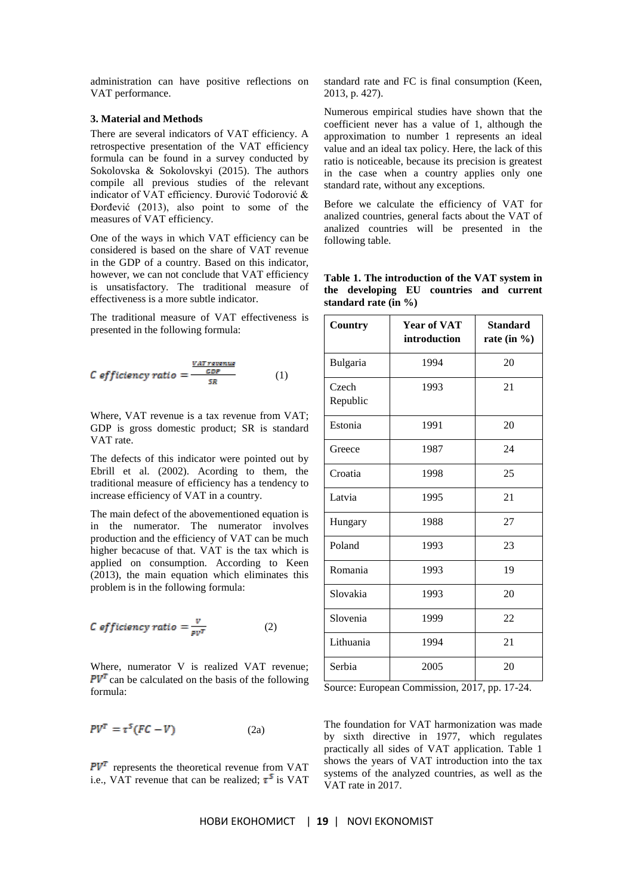administration can have positive reflections on VAT performance.

#### **3. Material and Methods**

There are several indicators of VAT efficiency. A retrospective presentation of the VAT efficiency formula can be found in a survey conducted by Sokolovska & Sokolovskyi (2015). The authors compile all previous studies of the relevant indicator of VAT efficiency. Đurović Todorović & Đorđević (2013), also point to some of the measures of VAT efficiency.

One of the ways in which VAT efficiency can be considered is based on the share of VAT revenue in the GDP of a country. Based on this indicator, however, we can not conclude that VAT efficiency is unsatisfactory. The traditional measure of effectiveness is a more subtle indicator.

The traditional measure of VAT effectiveness is presented in the following formula:

C efficiency ratio = 
$$
\frac{\frac{VAT\text{ revenue}}{CDF}}{SR}
$$
 (1)

Where, VAT revenue is a tax revenue from VAT; GDP is gross domestic product; SR is standard VAT rate.

The defects of this indicator were pointed out by Ebrill et al. (2002). Acording to them, the traditional measure of efficiency has a tendency to increase efficiency of VAT in a country.

The main defect of the abovementioned equation is in the numerator. The numerator involves production and the efficiency of VAT can be much higher becacuse of that. VAT is the tax which is applied on consumption. According to Keen (2013), the main equation which eliminates this problem is in the following formula:

C efficiency ratio = 
$$
\frac{v}{pv^T}
$$
 (2)

Where, numerator V is realized VAT revenue;  $PV<sup>T</sup>$  can be calculated on the basis of the following formula:

$$
PV^{T} = \tau^{S}(FC - V) \tag{2a}
$$

 $PV<sup>T</sup>$  represents the theoretical revenue from VAT i.e., VAT revenue that can be realized;  $\tau^5$  is VAT

standard rate and FC is final consumption (Keen, 2013, p. 427).

Numerous empirical studies have shown that the coefficient never has a value of 1, although the approximation to number 1 represents an ideal value and an ideal tax policy. Here, the lack of this ratio is noticeable, because its precision is greatest in the case when a country applies only one standard rate, without any exceptions.

Before we calculate the efficiency of VAT for analized countries, general facts about the VAT of analized countries will be presented in the following table.

| Table 1. The introduction of the VAT system in |  |  |
|------------------------------------------------|--|--|
| the developing EU countries and current        |  |  |
| standard rate (in %)                           |  |  |

| Country           | <b>Year of VAT</b><br>introduction | <b>Standard</b><br>rate (in $\%$ ) |  |
|-------------------|------------------------------------|------------------------------------|--|
| Bulgaria          | 1994                               | 20                                 |  |
| Czech<br>Republic | 1993                               | 21                                 |  |
| Estonia           | 1991                               | 20                                 |  |
| Greece            | 1987                               | 24                                 |  |
| Croatia           | 1998                               | 25                                 |  |
| Latvia            | 1995                               | 21                                 |  |
| Hungary           | 1988                               | 27                                 |  |
| Poland            | 1993                               | 23                                 |  |
| Romania           | 1993                               | 19                                 |  |
| Slovakia          | 1993                               | 20                                 |  |
| Slovenia          | 1999                               | 22                                 |  |
| Lithuania         | 1994                               | 21                                 |  |
| Serbia            | 2005                               | 20                                 |  |

Source: European Commission, 2017, pp. 17-24.

The foundation for VAT harmonization was made by sixth directive in 1977, which regulates practically all sides of VAT application. Table 1 shows the years of VAT introduction into the tax systems of the analyzed countries, as well as the VAT rate in 2017.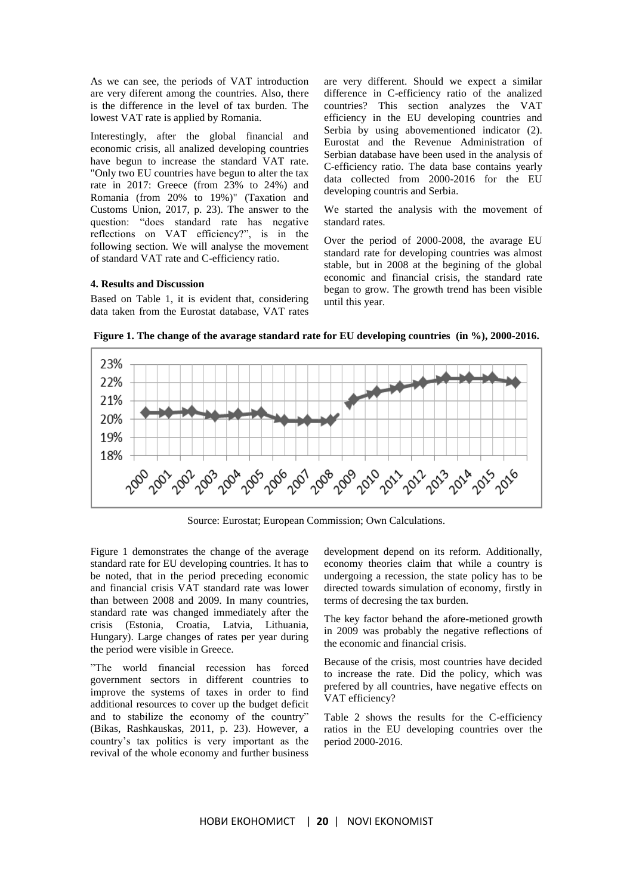As we can see, the periods of VAT introduction are very diferent among the countries. Also, there is the difference in the level of tax burden. The lowest VAT rate is applied by Romania.

Interestingly, after the global financial and economic crisis, all analized developing countries have begun to increase the standard VAT rate. "Only two EU countries have begun to alter the tax rate in 2017: Greece (from 23% to 24%) and Romania (from 20% to 19%)" (Taxation and Customs Union, 2017, p. 23). The answer to the question: "does standard rate has negative reflections on VAT efficiency?", is in the following section. We will analyse the movement of standard VAT rate and C-efficiency ratio.

## **4. Results and Discussion**

Based on Table 1, it is evident that, considering data taken from the Eurostat database, VAT rates are very different. Should we expect a similar difference in C-efficiency ratio of the analized countries? This section analyzes the VAT efficiency in the EU developing countries and Serbia by using abovementioned indicator (2). Eurostat and the Revenue Administration of Serbian database have been used in the analysis of C-efficiency ratio. The data base contains yearly data collected from 2000-2016 for the EU developing countris and Serbia.

We started the analysis with the movement of standard rates.

Over the period of 2000-2008, the avarage EU standard rate for developing countries was almost stable, but in 2008 at the begining of the global economic and financial crisis, the standard rate began to grow. The growth trend has been visible until this year.

23% 22% 21% 20% 19% 18% చిల్లా సల్లా సల్లు సల్లా సల్లా సల్లా సల్లా సల్లా స్కూ స్కూ స్కూ స్కూ స్క

**Figure 1. The change of the avarage standard rate for EU developing countries (in %), 2000-2016.**

Source: Eurostat; European Commission; Own Calculations.

Figure 1 demonstrates the change of the average standard rate for EU developing countries. It has to be noted, that in the period preceding economic and financial crisis VAT standard rate was lower than between 2008 and 2009. In many countries, standard rate was changed immediately after the crisis (Estonia, Croatia, Latvia, Lithuania, Hungary). Large changes of rates per year during the period were visible in Greece.

"The world financial recession has forced government sectors in different countries to improve the systems of taxes in order to find additional resources to cover up the budget deficit and to stabilize the economy of the country" (Bikas, Rashkauskas, 2011, p. 23). However, a country's tax politics is very important as the revival of the whole economy and further business

development depend on its reform. Additionally, economy theories claim that while a country is undergoing a recession, the state policy has to be directed towards simulation of economy, firstly in terms of decresing the tax burden.

The key factor behand the afore-metioned growth in 2009 was probably the negative reflections of the economic and financial crisis.

Because of the crisis, most countries have decided to increase the rate. Did the policy, which was prefered by all countries, have negative effects on VAT efficiency?

Table 2 shows the results for the C-efficiency ratios in the EU developing countries over the period 2000-2016.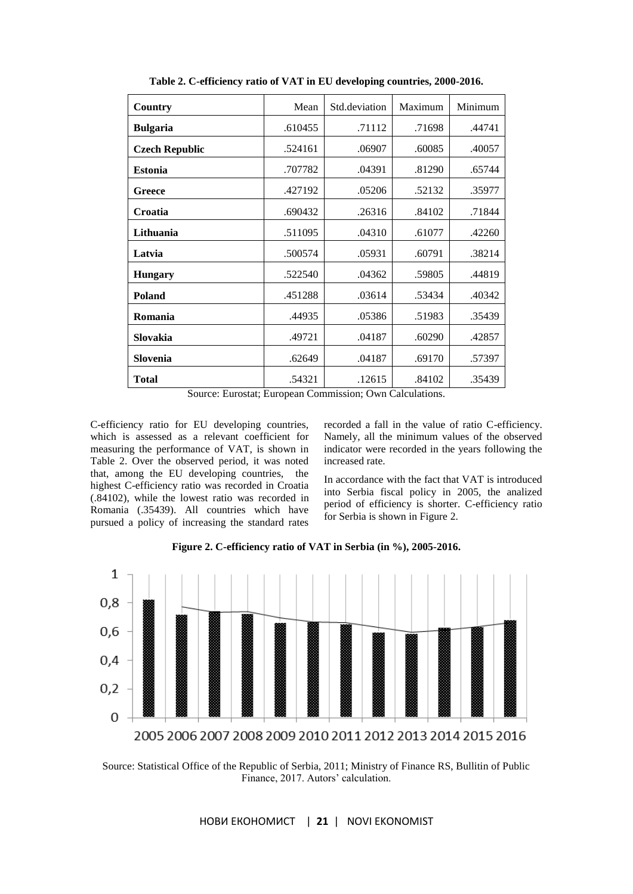| Country               | Mean    | Std.deviation | Maximum | Minimum |
|-----------------------|---------|---------------|---------|---------|
| <b>Bulgaria</b>       | .610455 | .71112        | .71698  | .44741  |
| <b>Czech Republic</b> | .524161 | .06907        | .60085  | .40057  |
| <b>Estonia</b>        | .707782 | .04391        | .81290  | .65744  |
| Greece                | .427192 | .05206        | .52132  | .35977  |
| <b>Croatia</b>        | .690432 | .26316        | .84102  | .71844  |
| Lithuania             | .511095 | .04310        | .61077  | .42260  |
| Latvia                | .500574 | .05931        | .60791  | .38214  |
| <b>Hungary</b>        | .522540 | .04362        | .59805  | .44819  |
| Poland                | .451288 | .03614        | .53434  | .40342  |
| Romania               | .44935  | .05386        | .51983  | .35439  |
| Slovakia              | .49721  | .04187        | .60290  | .42857  |
| Slovenia              | .62649  | .04187        | .69170  | .57397  |
| <b>Total</b>          | .54321  | .12615        | .84102  | .35439  |

**Table 2. C-efficiency ratio of VAT in EU developing countries, 2000-2016.**

Source: Eurostat; European Commission; Own Calculations.

C-efficiency ratio for EU developing countries, which is assessed as a relevant coefficient for measuring the performance of VAT, is shown in Table 2. Over the observed period, it was noted that, among the EU developing countries, the highest C-efficiency ratio was recorded in Croatia (.84102), while the lowest ratio was recorded in Romania (.35439). All countries which have pursued a policy of increasing the standard rates

recorded a fall in the value of ratio C-efficiency. Namely, all the minimum values of the observed indicator were recorded in the years following the increased rate.

In accordance with the fact that VAT is introduced into Serbia fiscal policy in 2005, the analized period of efficiency is shorter. C-efficiency ratio for Serbia is shown in Figure 2.



**Figure 2. C-efficiency ratio of VAT in Serbia (in %), 2005-2016.**

Source: Statistical Office of the Republic of Serbia, 2011; Ministry of Finance RS, Bullitin of Public Finance, 2017. Autors' calculation.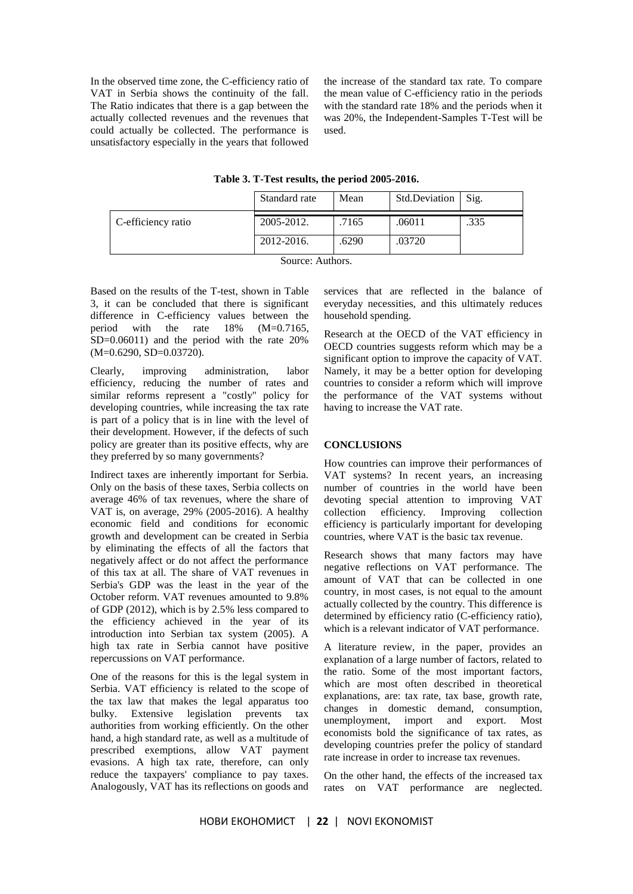In the observed time zone, the C-efficiency ratio of VAT in Serbia shows the continuity of the fall. The Ratio indicates that there is a gap between the actually collected revenues and the revenues that could actually be collected. The performance is unsatisfactory especially in the years that followed

the increase of the standard tax rate. To compare the mean value of C-efficiency ratio in the periods with the standard rate 18% and the periods when it was 20%, the Independent-Samples T-Test will be used.

**Table 3. T-Test results, the period 2005-2016.**

|                    | Standard rate | Mean  | Std.Deviation | Sig. |
|--------------------|---------------|-------|---------------|------|
| C-efficiency ratio | 2005-2012.    | .7165 | .06011        | .335 |
|                    | 2012-2016.    | .6290 | .03720        |      |

Source: Authors.

Based on the results of the T-test, shown in Table 3, it can be concluded that there is significant difference in C-efficiency values between the period with the rate 18% (M=0.7165, SD=0.06011) and the period with the rate 20% (M=0.6290, SD=0.03720).

Clearly, improving administration, labor efficiency, reducing the number of rates and similar reforms represent a "costly" policy for developing countries, while increasing the tax rate is part of a policy that is in line with the level of their development. However, if the defects of such policy are greater than its positive effects, why are they preferred by so many governments?

Indirect taxes are inherently important for Serbia. Only on the basis of these taxes, Serbia collects on average 46% of tax revenues, where the share of VAT is, on average, 29% (2005-2016). A healthy economic field and conditions for economic growth and development can be created in Serbia by eliminating the effects of all the factors that negatively affect or do not affect the performance of this tax at all. The share of VAT revenues in Serbia's GDP was the least in the year of the October reform. VAT revenues amounted to 9.8% of GDP (2012), which is by 2.5% less compared to the efficiency achieved in the year of its introduction into Serbian tax system (2005). A high tax rate in Serbia cannot have positive repercussions on VAT performance.

One of the reasons for this is the legal system in Serbia. VAT efficiency is related to the scope of the tax law that makes the legal apparatus too bulky. Extensive legislation prevents tax authorities from working efficiently. On the other hand, a high standard rate, as well as a multitude of prescribed exemptions, allow VAT payment evasions. A high tax rate, therefore, can only reduce the taxpayers' compliance to pay taxes. Analogously, VAT has its reflections on goods and

services that are reflected in the balance of everyday necessities, and this ultimately reduces household spending.

Research at the OECD of the VAT efficiency in OECD countries suggests reform which may be a significant option to improve the capacity of VAT. Namely, it may be a better option for developing countries to consider a reform which will improve the performance of the VAT systems without having to increase the VAT rate.

## **CONCLUSIONS**

How countries can improve their performances of VAT systems? In recent years, an increasing number of countries in the world have been devoting special attention to improving VAT collection efficiency. Improving collection efficiency is particularly important for developing countries, where VAT is the basic tax revenue.

Research shows that many factors may have negative reflections on VAT performance. The amount of VAT that can be collected in one country, in most cases, is not equal to the amount actually collected by the country. This difference is determined by efficiency ratio (C-efficiency ratio), which is a relevant indicator of VAT performance.

A literature review, in the paper, provides an explanation of a large number of factors, related to the ratio. Some of the most important factors, which are most often described in theoretical explanations, are: tax rate, tax base, growth rate, changes in domestic demand, consumption, unemployment, import and export. Most economists bold the significance of tax rates, as developing countries prefer the policy of standard rate increase in order to increase tax revenues.

On the other hand, the effects of the increased tax rates on VAT performance are neglected.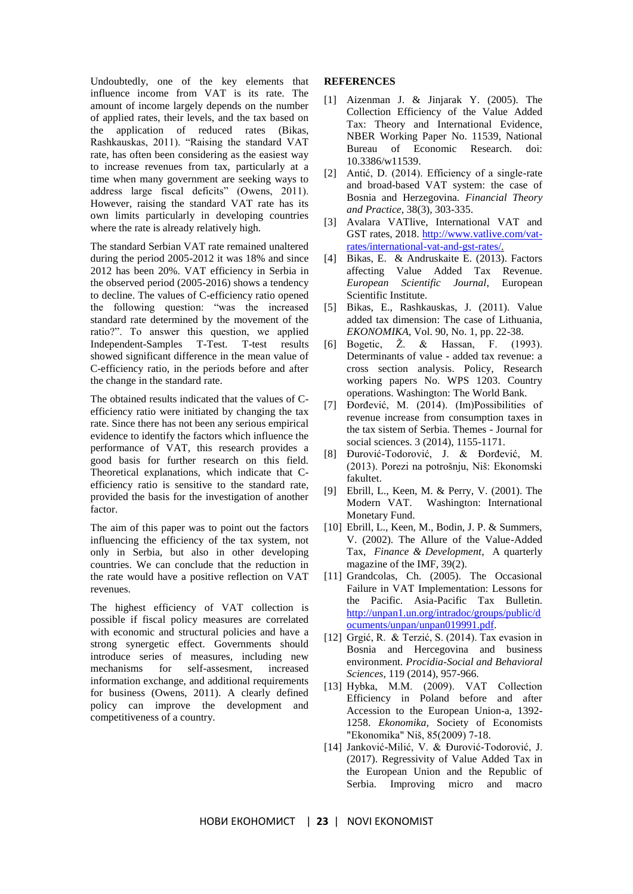Undoubtedly, one of the key elements that influence income from VAT is its rate. The amount of income largely depends on the number of applied rates, their levels, and the tax based on the application of reduced rates (Bikas, Rashkauskas, 2011). "Raising the standard VAT rate, has often been considering as the easiest way to increase revenues from tax, particularly at a time when many government are seeking ways to address large fiscal deficits" (Owens, 2011). However, raising the standard VAT rate has its own limits particularly in developing countries where the rate is already relatively high.

The standard Serbian VAT rate remained unaltered during the period 2005-2012 it was 18% and since 2012 has been 20%. VAT efficiency in Serbia in the observed period (2005-2016) shows a tendency to decline. The values of C-efficiency ratio opened the following question: "was the increased standard rate determined by the movement of the ratio?". To answer this question, we applied Independent-Samples T-Test. T-test results showed significant difference in the mean value of C-efficiency ratio, in the periods before and after the change in the standard rate.

The obtained results indicated that the values of Cefficiency ratio were initiated by changing the tax rate. Since there has not been any serious empirical evidence to identify the factors which influence the performance of VAT, this research provides a good basis for further research on this field. Theoretical explanations, which indicate that Cefficiency ratio is sensitive to the standard rate, provided the basis for the investigation of another factor.

The aim of this paper was to point out the factors influencing the efficiency of the tax system, not only in Serbia, but also in other developing countries. We can conclude that the reduction in the rate would have a positive reflection on VAT revenues.

The highest efficiency of VAT collection is possible if fiscal policy measures are correlated with economic and structural policies and have a strong synergetic effect. Governments should introduce series of measures, including new mechanisms for self-assesment, increased information exchange, and additional requirements for business (Owens, 2011). A clearly defined policy can improve the development and competitiveness of a country.

### **REFERENCES**

- [1] Aizenman J. & Jinjarak Y. (2005). The Collection Efficiency of the Value Added Tax: Theory and International Evidence, NBER Working Paper No. 11539, National Bureau of Economic Research. doi: 10.3386/w11539.
- [2] Antić, D. (2014). Efficiency of a single-rate and broad-based VAT system: the case of Bosnia and Herzegovina. *Financial Theory and Practice*, 38(3), 303-335.
- [3] Avalara VATlive, International VAT and GST rates, 2018. [http://www.vatlive.com/vat](http://www.vatlive.com/vat-rates/international-vat-and-gst-rates/)[rates/international-vat-and-gst-rates/.](http://www.vatlive.com/vat-rates/international-vat-and-gst-rates/)
- [4] Bikas, E. & Andruskaite E. (2013). Factors affecting Value Added Tax Revenue. *European Scientific Journal*, European Scientific Institute.
- [5] Bikas, E., Rashkauskas, J. (2011). Value added tax dimension: The case of Lithuania, *EKONOMIKA*, Vol. 90, No. 1, pp. 22-38.
- [6] Bogetic,  $\check{Z}$ . & Hassan, F. (1993). Determinants of value - added tax revenue: a cross section analysis. Policy, Research working papers No. WPS 1203. Country operations. Washington: The World Bank.
- [7] Đorđević, M. (2014). (Im)Possibilities of revenue increase from consumption taxes in the tax sistem of Serbia. Themes - Journal for social sciences. 3 (2014), 1155-1171.
- [8] Đurović-Todorović, J. & Đorđević, M. (2013). Porezi na potrošnju, Niš: Ekonomski fakultet.
- [9] Ebrill, L., Keen, M. & Perry, V. (2001). The Modern VAT. Washington: International Monetary Fund.
- [10] Ebrill, L., Keen, M., Bodin, J. P. & Summers, V. (2002). The Allure of the Value-Added Tax, *Finance & Development*, A quarterly magazine of the IMF, 39(2).
- [11] Grandcolas, Ch. (2005). The Occasional Failure in VAT Implementation: Lessons for the Pacific. Asia-Pacific Tax Bulletin. [http://unpan1.un.org/intradoc/groups/public/d](http://unpan1.un.org/intradoc/groups/public/documents/unpan/unpan019991.pdf) [ocuments/unpan/unpan019991.pdf.](http://unpan1.un.org/intradoc/groups/public/documents/unpan/unpan019991.pdf)
- [12] Grgić, R. & Terzić, S. (2014). Tax evasion in Bosnia and Hercegovina and business environment. *Procidia-Social and Behavioral Sciences*, 119 (2014), 957-966.
- [13] Hybka, М.М. (2009). VAT Collection Efficiency in Poland before and after Accession to the European Union-a, 1392- 1258. *Ekonomika,* Society of Economists "Ekonomika" Niš, 85(2009) 7-18.
- [14] Janković-Milić, V. & Đurović-Todorović, J. (2017). Regressivity of Value Added Tax in the European Union and the Republic of Serbia. Improving micro and macro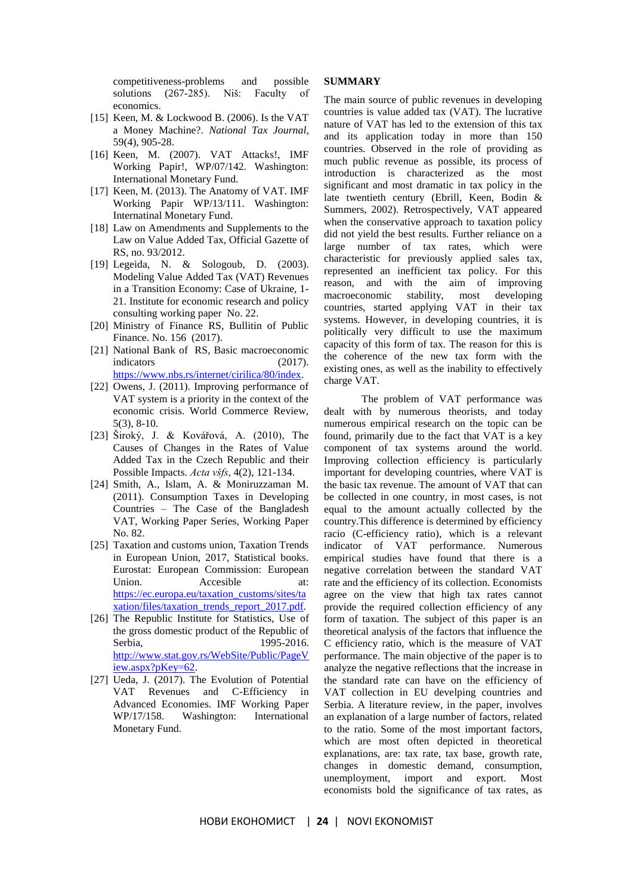competitiveness-problems and possible solutions (267-285). Niš: Faculty of economics.

- [15] Keen, M. & Lockwood B. (2006). Is the VAT a Money Machine?. *National Tax Journal*, 59(4), 905-28.
- [16] Keen, M. (2007). VAT Attacks!, IMF Working Papir!, WP/07/142. Washington: International Monetary Fund.
- [17] Keen, M. (2013). The Anatomy of VAT. IMF Working Papir WP/13/111. Washington: Internatinal Monetary Fund.
- [18] Law on Amendments and Supplements to the Law on Value Added Tax, Official Gazette of RS, no. 93/2012.
- [19] Legeida, N. & Sologoub, D. (2003). Modeling Value Added Tax (VAT) Revenues in a Transition Economy: Case of Ukraine, 1- 21. Institute for economic research and policy consulting working paper No. 22.
- [20] Ministry of Finance RS, Bullitin of Public Finance. No. 156 (2017).
- [21] National Bank of RS, Basic macroeconomic indicators (2017). [https://www.nbs.rs/internet/cirilica/80/index.](https://www.nbs.rs/internet/cirilica/80/index)
- [22] Owens, J. (2011). Improving performance of VAT system is a priority in the context of the economic crisis. World Commerce Review, 5(3), 8-10.
- [23] Široký, J. & Kovářová, A. (2010), The Causes of Changes in the Rates of Value Added Tax in the Czech Republic and their Possible Impacts. *Acta všfs*, 4(2), 121-134.
- [24] Smith, A., Islam, A. & Moniruzzaman M. (2011). Consumption Taxes in Developing Countries – The Case of the Bangladesh VAT, Working Paper Series, Working Paper No. 82.
- [25] Taxation and customs union, Taxation Trends in European Union, 2017, Statistical books. Eurostat: European Commission: European Union. Accesible at: [https://ec.europa.eu/taxation\\_customs/sites/ta](https://ec.europa.eu/taxation_customs/sites/taxation/files/taxation_trends_report_2017.pdf) [xation/files/taxation\\_trends\\_report\\_2017.pdf.](https://ec.europa.eu/taxation_customs/sites/taxation/files/taxation_trends_report_2017.pdf)
- [26] The Republic Institute for Statistics, Use of the gross domestic product of the Republic of Serbia, 1995-2016. [http://www.stat.gov.rs/WebSite/Public/PageV](http://www.stat.gov.rs/WebSite/Public/PageView.aspx?pKey=62) [iew.aspx?pKey=62.](http://www.stat.gov.rs/WebSite/Public/PageView.aspx?pKey=62)
- [27] Ueda, J. (2017). The Evolution of Potential VAT Revenues and C-Efficiency in Advanced Economies. IMF Working Paper WP/17/158. Washington: International Monetary Fund.

#### **SUMMARY**

The main source of public revenues in developing countries is value added tax (VAT). The lucrative nature of VAT has led to the extension of this tax and its application today in more than 150 countries. Observed in the role of providing as much public revenue as possible, its process of introduction is characterized as the most significant and most dramatic in tax policy in the late twentieth century (Ebrill, Keen, Bodin & Summers, 2002). Retrospectively, VAT appeared when the conservative approach to taxation policy did not yield the best results. Further reliance on a large number of tax rates, which were characteristic for previously applied sales tax, represented an inefficient tax policy. For this reason, and with the aim of improving macroeconomic stability, most developing countries, started applying VAT in their tax systems. However, in developing countries, it is politically very difficult to use the maximum capacity of this form of tax. The reason for this is the coherence of the new tax form with the existing ones, as well as the inability to effectively charge VAT.

The problem of VAT performance was dealt with by numerous theorists, and today numerous empirical research on the topic can be found, primarily due to the fact that VAT is a key component of tax systems around the world. Improving collection efficiency is particularly important for developing countries, where VAT is the basic tax revenue. The amount of VAT that can be collected in one country, in most cases, is not equal to the amount actually collected by the country.This difference is determined by efficiency racio (C-efficiency ratio), which is a relevant indicator of VAT performance. Numerous empirical studies have found that there is a negative correlation between the standard VAT rate and the efficiency of its collection. Economists agree on the view that high tax rates cannot provide the required collection efficiency of any form of taxation. The subject of this paper is an theoretical analysis of the factors that influence the C efficiency ratio, which is the measure of VAT performance. The main objective of the paper is to analyze the negative reflections that the increase in the standard rate can have on the efficiency of VAT collection in EU develping countries and Serbia. A literature review, in the paper, involves an explanation of a large number of factors, related to the ratio. Some of the most important factors, which are most often depicted in theoretical explanations, are: tax rate, tax base, growth rate, changes in domestic demand, consumption, unemployment, import and export. Most economists bold the significance of tax rates, as